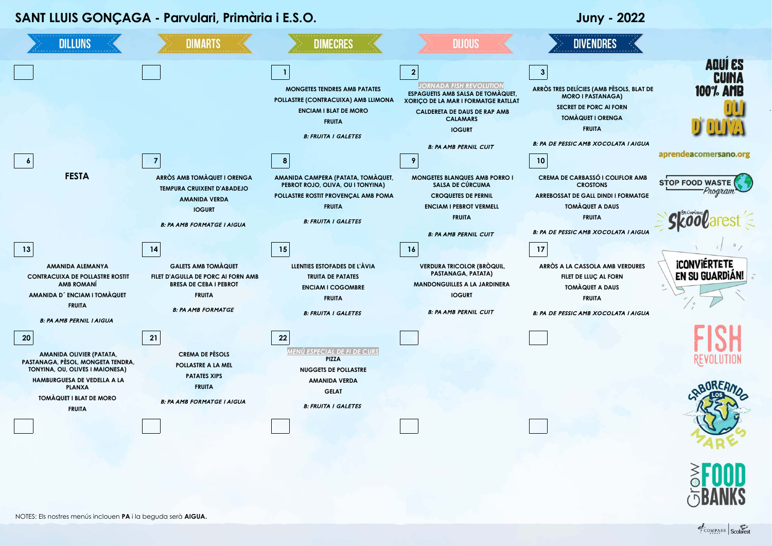